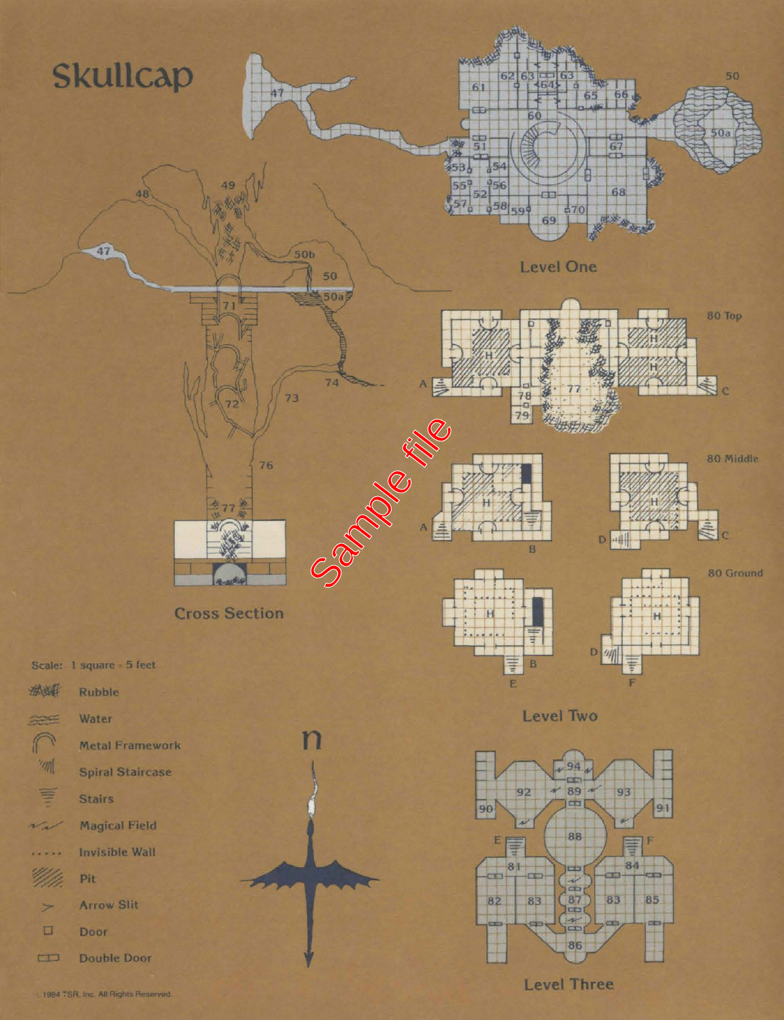

1984 TSR, Inc. All Rights Reserved.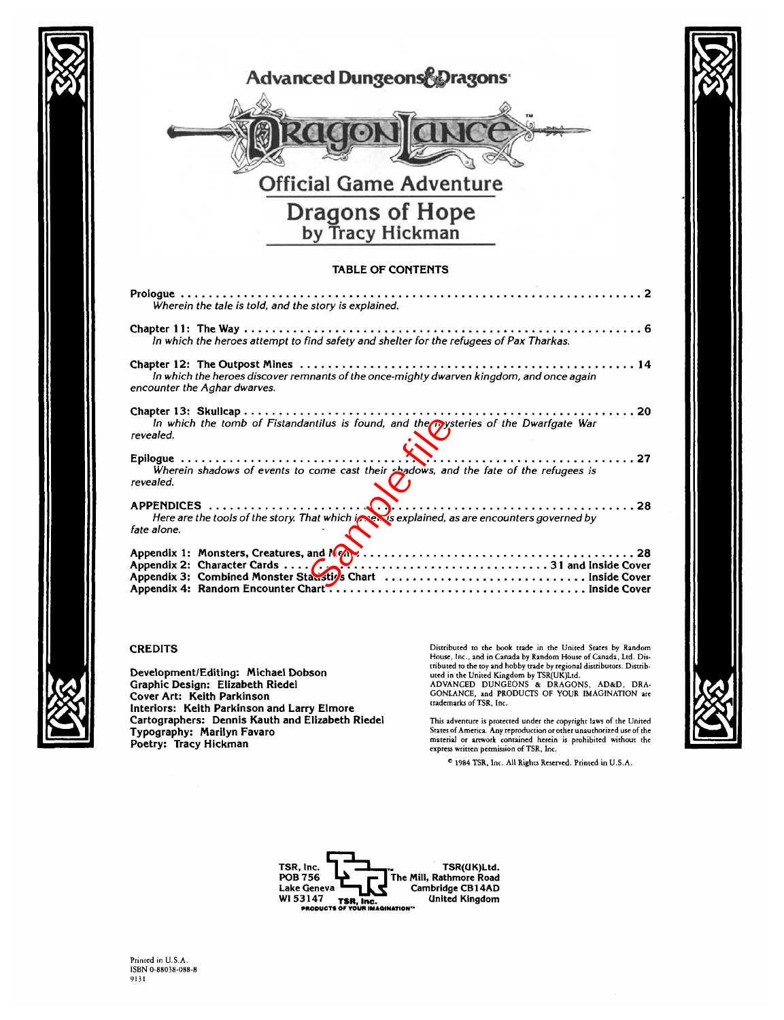

## **CREDITS**

**Development/Editing: Michael Dobson Graphic Design: Elizabeth Riedel Cover Art: Keith Parkinson Cartographers: Dennis Kauth and Elizabeth Riedel Typography: Marilyn Favaro Poetry: Tracy Hickman**

Distributed to the book trade in the United States by Random House, Inc., and in Canada by Random House of Canada, Ltd. Distributed to the toy and hobby trade by regional distributors. Distributed in the United Kingdom by TSR(UK)Ltd. ADVANCED DUNGEONS & DRAGONS, AD&D, DRA-GONLANCE, and PRODUCTS OF YOUR IMAGINATION are trademarks of TSR, Inc.

This adventure is protected under the copyright laws of the United States of America. Any reproduction or other unauthorized use of the material or artwork contained herein is prohibited without the express written permission of TSR, Inc.

e 1984 TSR, Inc. All Rights Reserved. Printed in U.S.A.

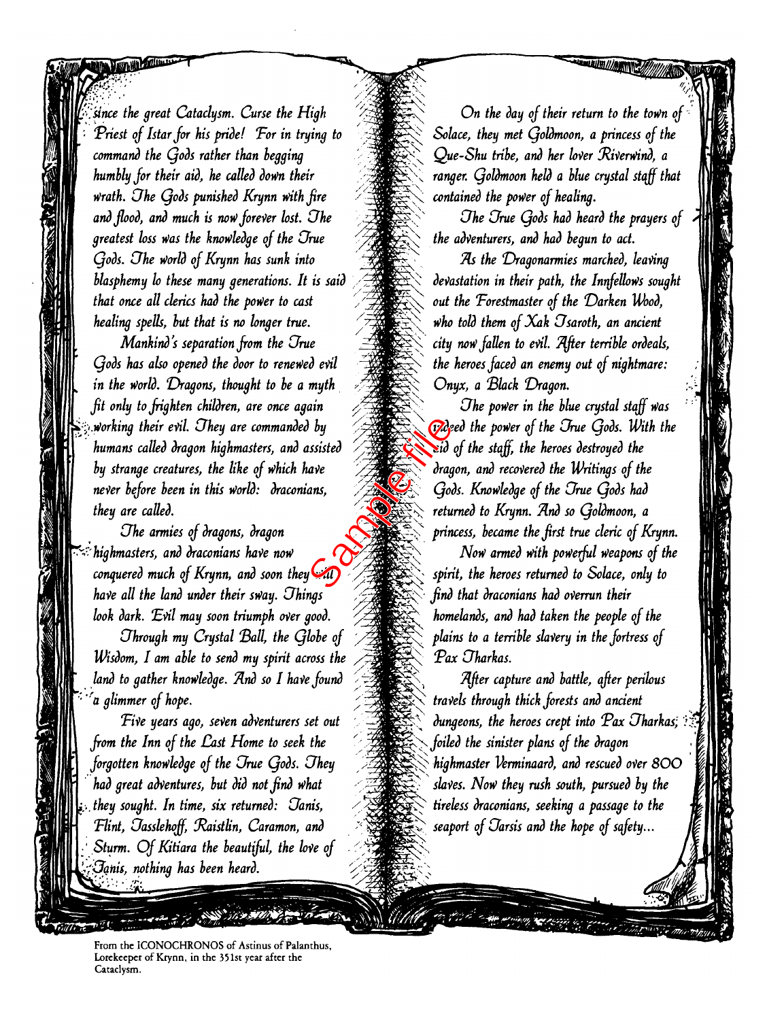*'/•.'since the great Cataclysm. Curse the High Priest of Istar for his pride! Tor in trying to command the Qods rather than begging humbly for their aid, he called down their Wrath. Ohe Qods punished Krynn With fire and flood, and much is noW foreVer lost. Ohe greatest loss Was the knowledge of the Orue Qods. Ohe World of Krynn has sunk into blasphemy lo these many generations. It is said that once all chrics had the power to cast healing spells, but that is no hnger true.*

<span id="page-2-0"></span>March Marine

*Mankind's separation from the Orue Qods has also opened the door to renewed evil in the World. Dragons, thought to be a myth fit only to frighten children, are once again* **i-'ji.***Working their evil. Ohey are commanded by humans called dragon highmasters, and assisted by strange creatures, the like of which have neVer before been in this World: draconians, they are called.*  $\frac{dy}{dx}$ <br>  $y = 0$ <br>  $y = 0$ <br>  $y = 0$ <br>  $y = 0$ <br>  $y = 0$ <br>  $y = 0$ <br>  $y = 0$ <br>  $y = 0$ <br>  $y = 0$ <br>  $y = 0$ <br>  $y = 0$ <br>  $y = 0$ <br>  $y = 0$ <br>  $y = 0$ <br>  $y = 0$ <br>  $y = 0$ <br>  $y = 0$ <br>  $y = 0$ <br>  $y = 0$ <br>  $y = 0$ <br>  $y = 0$ <br>  $y = 0$ <br>  $y = 0$ <br>  $y = 0$ <br>  $y = 0$ <br>  $y = 0$ <br>  $y$ 

*Ohe armies of dragons, dragon '"2highmasters, and draconians haVe noW conquered much of Krynn, and soon they Will haVe all the land under their sWay. Ohings look dark. "Evil may soon triumph over good. Ohrough my Crystal Ball, the Qhbe of Wisdom, I am able to send my spirit across the* land to gather knowledge. And so I have found *'•"'a glimmer of hope.*

*TiVe years ago, seVen adventurers set out from the Inn of the East Home to seek the forgotten knowledge of the Orue Qods. Ohey had great adventures, but did not find what* **j...** *they sought. In time, six returned: Oanis, Tlint, Oasshhoff, tRaistlin, Caramon, and* Sturm. Of Kitiara the beautiful, the love of *tynis, rwthing has been heard. '.*

*On the day of their return to the toWn of Solace, they met Qoldmoon, a princess of the Que-Shu tribe, and her loVer RiVerWind, a ranger. Qoldmoon held a blue crystal staff that contained the power of healing.*

**MAIN ///ANTISER** 

*Ohe Orue Qods had heard the prayers of the adventurers, and had begun to act.*

*As the Dragonarmies marched, leaving devastation in their path, the Innfelhws sought out the Torestmaster of the Darken Wood, who told them of Xak Osaroth, an ancient city noW fatten to evil. 7(fter terrible ordeals, the heroes faced an enemy out of nightmare:* Onyx, a Black Dragon.

*Ohe poWer in the blue crystal staff Was indeed the poWer of the Orue Qods. With the aid of the staff, the heroes destroyed the dragon, and recovered the Writings of the Qods. Knowledge of the Orue Qods had returned to Krynn. 7Lnd so Qoldmoon, a princess, became the first true cleric of Krynn.*

T **7\**

 $\sum_{i=1}^n$ 

*NoW armed With powerful Weapons of the spirit, the heroes returned to Sohce, only to find that draconians had overrun their homelands, and had taken the people of the plains to a terrible slavery in the fortress of Tax Oharkas.*

*lifter capture and battle, after perilous travels through thick forests and ancient dungeons, the heroes crept into*  $Pax$  *Tharkas*;  $\colon$ *foiled the sinister plans of the dragon highmaster Verminaard, and rescued oVer 8OO shves. NoW they rush south, pursued by the tireless draconians, seeking a passage to the seaport of Oarsis and the hope of safety...*

From the ICONOCHRONOS of Astinus of Palanthus, Lorekeeper of Krynn, in the 351st year after the Cataclysm.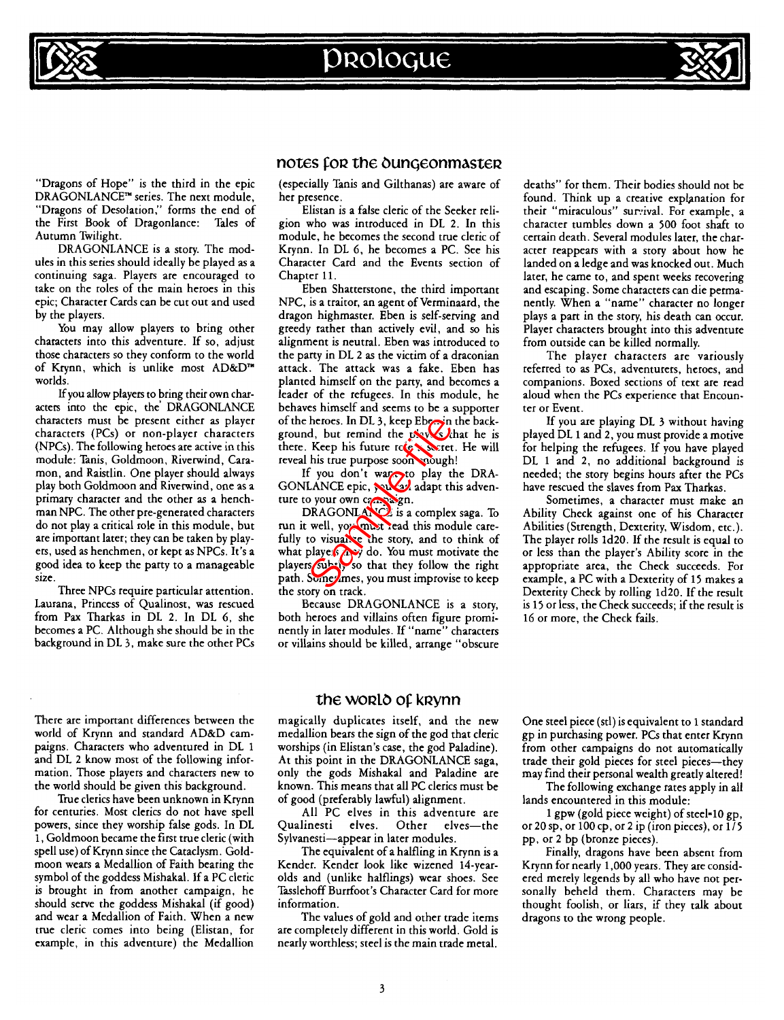





"Dragons of Hope" is the third in the epic DRAGONLANCE™ series. The next module, "Dragons of Desolation," forms the end of the First Book of Dragonlance: Tales of Autumn Twilight.

DRAGONLANCE is a story. The modules in this series should ideally be played as a continuing saga. Players are encouraged to take on the roles of the main heroes in this epic; Character Cards can be cut out and used by the players.

You may allow players to bring other characters into this adventure. If so, adjust those characters so they conform to the world of Krynn, which is unlike most AD&D™ worlds.

If you allow players to bring their own characters into the epic, the' DRAGONLANCE characters must be present either as player characters (PCs) or non-player characters (NPCs). The following heroes are active in this module: Tanis, Goldmoon, Riverwind, Caramon, and Raistlin. One player should always play both Goldmoon and Riverwind, one as a primary character and the other as a henchman NPC. The other pre-generated characters do not play a critical role in this module, but are important later; they can be taken by players, used as henchmen, or kept as NPCs. It's a good idea to keep the party to a manageable size.

Three NPCs require particular attention. Laurana, Princess of Qualinost, was rescued from Pax Tharkas in DL 2. In DL 6, she becomes a PC. Although she should be in the background in DL 3, make sure the other PCs

There are important differences between the world of Krynn and standard AD&D campaigns. Characters who adventured in DL 1 and DL 2 know most of the following information. Those players and characters new to the world should be given this background.

True clerics have been unknown in Krynn for centuries. Most clerics do not have spell powers, since they worship false gods. In DL 1, Goldmoon became the first true cleric (with spell use) of Krynn since the Cataclysm. Goldmoon wears a Medallion of Faith bearing the symbol of the goddess Mishakal. If a PC cleric is brought in from another campaign, he should serve the goddess Mishakal (if good) and wear a Medallion of Faith. When a new true cleric comes into being (Elistan, for example, in this adventure) the Medallion

# notes for the dungeonmaster

(especially Tanis and Gilthanas) are aware of her presence.

Elistan is a false cleric of the Seeker religion who was introduced in DL 2. In this module, he becomes the second true cleric of Krynn. In DL 6, he becomes a PC. See his Character Card and the Events section of Chapter 11.

Eben Shatterstone, the third important NPC, is a traitor, an agent of Verminaard, the dragon highmaster. Eben is self-serving and greedy rather than actively evil, and so his alignment is neutral. Eben was introduced to the party in DL 2 as the victim of a draconian attack. The attack was a fake. Eben has planted himself on the party, and becomes a leader of the refugees. In this module, he behaves himself and seems to be a supporter of the heroes. In DL 3, keep Eben in the background, but remind the  $\nu$   $\nu$   $\sqrt{s}$  that he is there. Keep his future role secret. He will reveal his true purpose soon cough!

If you don't want to play the DRA-GONLANCE epic, you as adapt this adventure to your own campaign.

DRAGONLANCE is a complex saga. To run it well, you must read this module carefully to visually the story, and to think of what players may do. You must motivate the players subtly so that they follow the right path. Sometimes, you must improvise to keep the story on track. theroes. In DL 3, keep Eberlin<br>
Sample, but remind the two discreted<br>
Sample files files the purpose soon couple<br>
figure files from the purpose soon couple<br>
figure files from the particle of the purpose of the purpose<br>
DRA

Because DRAGONLANCE is a story, both heroes and villains often figure prominently in later modules. If "name" characters or villains should be killed, arrange "obscure deaths" for them. Their bodies should not be found. Think up a creative explanation for their "miraculous" survival. For example, a character tumbles down a 500 foot shaft to certain death. Several modules later, the character reappears with a story about how he landed on a ledge and was knocked out. Much later, he came to, and spent weeks recovering and escaping. Some characters can die permanently. When a "name" character no longer plays a part in the story, his death can occur. Player characters brought into this adventure from outside can be killed normally.

The player characters are variously referred to as PCs, adventurers, heroes, and companions. Boxed sections of text are read aloud when the PCs experience that Encounter or Event.

If you are playing DL 3 without having played DL 1 and 2, you must provide a motive for helping the refugees. If you have played DL 1 and 2, no additional background is needed; the story begins hours after the PCs have rescued the slaves from Pax Tharkas.

Sometimes, a character must make an Ability Check against one of his Character Abilities (Strength, Dexterity, Wisdom, etc.). The player rolls ld20. If the result is equal to or less than the player's Ability score in the appropriate area, the Check succeeds. For example, a PC with a Dexterity of 15 makes a Dexterity Check by rolling ld20. If the result is 15 or less, the Check succeeds; if the result is 16 or more, the Check fails.

# the WORLO Of kRynn

magically duplicates itself, and the new medallion bears the sign of the god that cleric worships (in Elistan's case, the god Paladine). At this point in the DRAGONLANCE saga, only the gods Mishakal and Paladine are known. This means that all PC clerics must be of good (preferably lawful) alignment.

All PC elves in this adventure are Qualinesti elves. Other elves—the Sylvanesti—appear in later modules.

The equivalent of a halfling in Krynn is a Kender. Kender look like wizened 14-yearolds and (unlike halflings) wear shoes. See Tasslehoff Burrfoot's Character Card for more information.

The values of gold and other trade items are completely different in this world. Gold is nearly worthless; steel is the main trade metal.

One steel piece (stl) is equivalent to 1 standard gp in purchasing power. PCs that enter Krynn from other campaigns do not automatically trade their gold pieces for steel pieces—they may find their personal wealth greatly altered! The following exchange rates apply in all

lands encountered in this module:

1 gpw (gold piece weight) of steel-10 gp, or 20 sp, or 100 cp, or 2 ip (iron pieces), or  $1/5$ pp, or 2 bp (bronze pieces).

Finally, dragons have been absent from Krynn for nearly 1,000 years. They are considered merely legends by all who have not personally beheld them. Characters may be thought foolish, or liars, if they talk about dragons to the wrong people.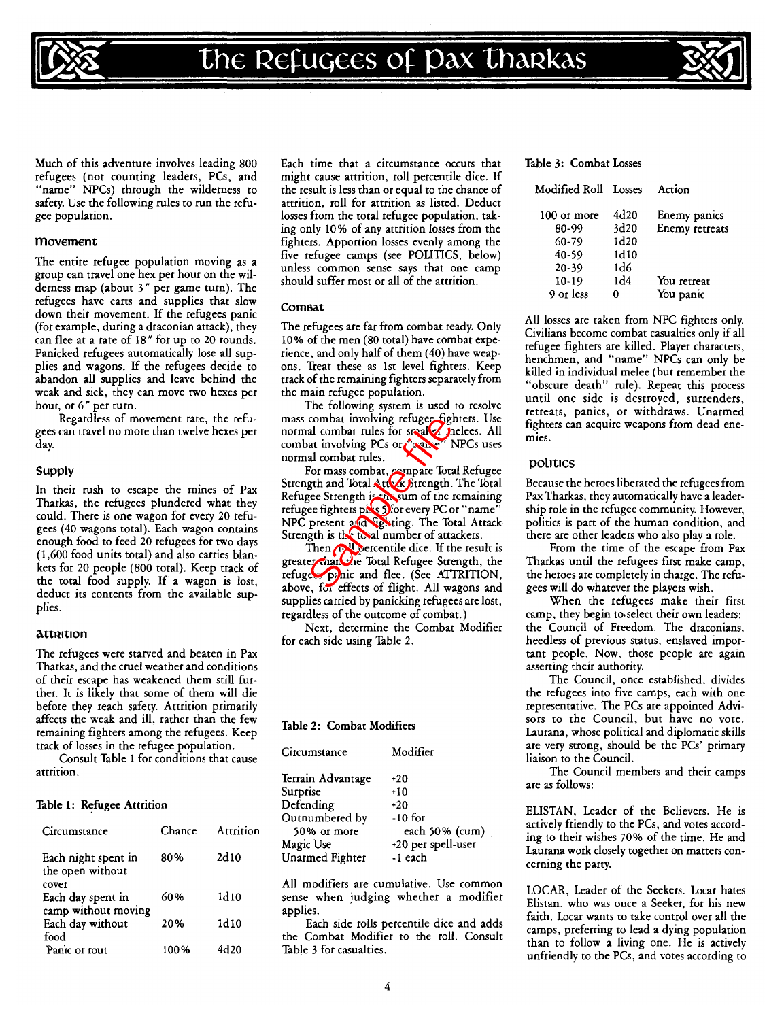

Much of this adventure involves leading 800 refugees (not counting leaders, PCs, and "name" NPCs) through the wilderness to safety. Use the following rules to run the refugee population.

### movement

The entire refugee population moving as a group can travel one hex per hour on the wilderness map (about 3" per game turn). The refugees have carts and supplies that slow down their movement. If the refugees panic (for example, during a draconian attack), they can flee at a rate of 18" for up to 20 rounds. Panicked refugees automatically lose all supplies and wagons. If the refugees decide to abandon all supplies and leave behind the weak and sick, they can move two hexes per hour, or 6" per turn.

Regardless of movement rate, the refugees can travel no more than twelve hexes per day.

#### Supply

In their rush to escape the mines of Pax Tharkas, the refugees plundered what they could. There is one wagon for every 20 refugees (40 wagons total). Each wagon contains enough food to feed 20 refugees for two days (1,600 food units total) and also carries blankets for 20 people (800 total). Keep track of the total food supply. If a wagon is lost, deduct its contents from the available supplies.

#### **Attrition**

The refugees were starved and beaten in Pax Tharkas, and the cruel weather and conditions of their escape has weakened them still further. It is likely that some of them will die before they reach safety. Attrition primarily affects the weak and ill, rather than the few remaining fighters among the refugees. Keep track of losses in the refugee population.

Consult Table 1 for conditions that cause attrition.

### Table 1: Refugee Attrition

| Circumstance                                     | Chance | Attrition |
|--------------------------------------------------|--------|-----------|
| Each night spent in<br>the open without<br>cover | 80%    | 2d10      |
| Each day spent in                                | 60%    | 1d10      |
| camp without moving<br>Each day without          | 20%    | 1d10      |
| food<br>Panic or rout                            | 100%   | 4d20      |

Each time that a circumstance occurs that might cause attrition, roll percentile dice. If the result is less than or equal to the chance of attrition, roll for attrition as listed. Deduct losses from the total refugee population, taking only 10% of any attrition losses from the fighters. Apportion losses evenly among the five refugee camps (see POLITICS, below) unless common sense says that one camp should suffer most or all of the attrition.

## ComBAt

The refugees are far from combat ready. Only 10% of the men (80 total) have combat experience, and only half of them (40) have weapons. Treat these as 1st level fighters. Keep track of the remaining fighters separately from the main refugee population.

The following system is used to resolve mass combat involving refugee fighters. Use normal combat rules for smaller inclees. All combat involving PCs or ease? NPCs uses normal combat rules.

For mass combat, compare Total Refugee Strength and Total Att**yk S**trength. The Total Refugee Strength is the sum of the remaining refugee fighters pils 5) for every PC or "name" NPC present and *fighting*. The Total Attack Strength is the total number of attackers. combat involving retugee tight<br>all combat rules for small<br>the involving PCs or small<br>all combat rules.<br>For mass combat, compare Total<br>gets and Total Atto Siternath of the rece fighters pixes of or every PC or<br>present a for

Then *roll* percentile dice. If the result is greater than the Total Refugee Strength, the refuge panic and flee. (See ATTRITION, above, for effects of flight. All wagons and supplies carried by panicking refugees are lost, regardless of the outcome of combat.)

Next, determine the Combat Modifier for each side using Table 2.

#### Table 2: Combat Modifiers

| Circumstance      | Modifier           |
|-------------------|--------------------|
| Terrain Advantage | $+20$              |
| Surprise          | $+10$              |
| Defending         | $+20$              |
| Outnumbered by    | $-10$ for          |
| 50% or more       | each 50% (cum)     |
| Magic Use         | +20 per spell-user |
| Unarmed Fighter   | -1 each            |

All modifiers are cumulative. Use common sense when judging whether a modifier applies.

Each side rolls percentile dice and adds the Combat Modifier to the roll. Consult Table 3 for casualties.

| Modified Roll | Losses | Action         |
|---------------|--------|----------------|
| 100 or more   | 4d20   | Enemy panics   |
| 80-99         | 3d20   | Enemy retreats |
| 60-79         | 1d20   |                |
| 40-59         | 1d10   |                |
| $20 - 39$     | 1d6    |                |
| $10-19$       | 1d4    | You retreat    |
| 9 or less     |        | You panic      |

All losses are taken from NPC fighters only. Civilians become combat casualties only if all refugee fighters are killed. Player characters, henchmen, and "name" NPCs can only be killed in individual melee (but remember the "obscure death" rule). Repeat this process until one side is destroyed, surrenders, retreats, panics, or withdraws. Unarmed fighters can acquire weapons from dead enemies.

## politics

Because the heroes liberated the refugees from Pax Tharkas, they automatically have a leadership role in the refugee community. However, politics is part of the human condition, and there are other leaders who also play a role.

From the time of the escape from Pax Tharkas until the refugees first make camp, the heroes are completely in charge. The refugees will do whatever the players wish.

When the refugees make their first camp, they begin to select their own leaders: the Council of Freedom. The draconians, heedless of previous status, enslaved important people. Now, those people are again asserting their authority.

The Council, once established, divides the refugees into five camps, each with one representative. The PCs are appointed Advisors to the Council, but have no vote. Laurana, whose political and diplomatic skills are very strong, should be the PCs' primary liaison to the Council.

The Council members and their camps are as follows:

ELISTAN, Leader of the Believers. He is actively friendly to the PCs, and votes according to their wishes 70% of the time. He and Laurana work closely together on matters concerning the party.

LOCAR, Leader of the Seekers. Locar hates Elistan, who was once a Seeker, for his new faith. Locar wants to take control over all the camps, preferring to lead a dying population than to follow a living one. He is actively unfriendly to the PCs, and votes according to